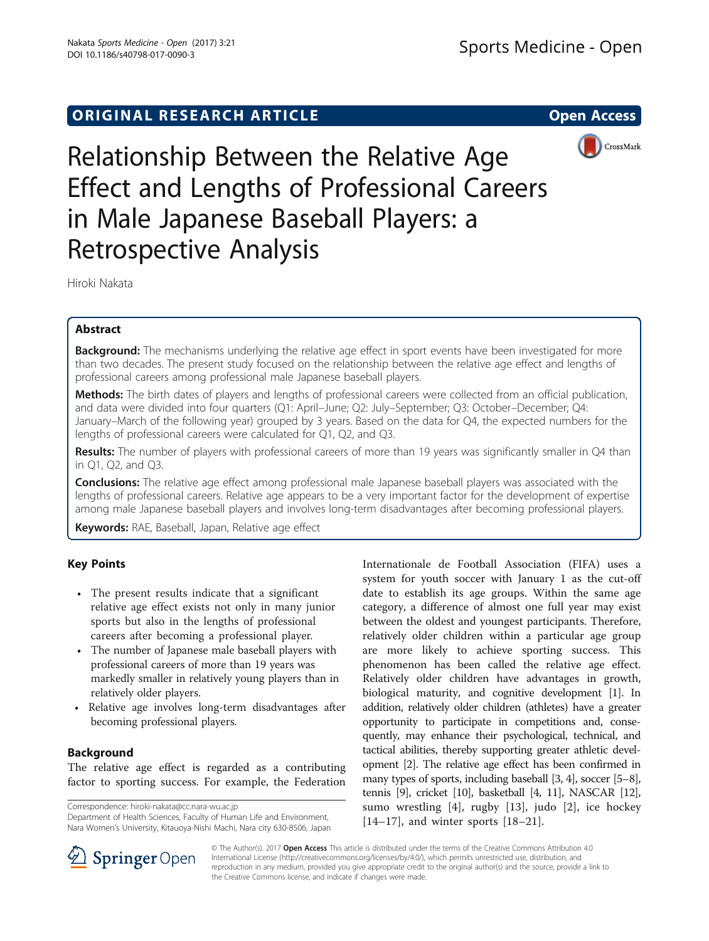# <span id="page-0-0"></span>ORIGINAL RESEARCH ARTICLE **External in the Second Access** open Access



Relationship Between the Relative Age Effect and Lengths of Professional Careers in Male Japanese Baseball Players: a Retrospective Analysis

Hiroki Nakata

# Abstract

**Background:** The mechanisms underlying the relative age effect in sport events have been investigated for more than two decades. The present study focused on the relationship between the relative age effect and lengths of professional careers among professional male Japanese baseball players.

Methods: The birth dates of players and lengths of professional careers were collected from an official publication, and data were divided into four quarters (Q1: April–June; Q2: July–September; Q3: October–December; Q4: January–March of the following year) grouped by 3 years. Based on the data for Q4, the expected numbers for the lengths of professional careers were calculated for Q1, Q2, and Q3.

Results: The number of players with professional careers of more than 19 years was significantly smaller in Q4 than in Q1, Q2, and Q3.

**Conclusions:** The relative age effect among professional male Japanese baseball players was associated with the lengths of professional careers. Relative age appears to be a very important factor for the development of expertise among male Japanese baseball players and involves long-term disadvantages after becoming professional players.

Keywords: RAE, Baseball, Japan, Relative age effect

# Key Points

- The present results indicate that a significant relative age effect exists not only in many junior sports but also in the lengths of professional careers after becoming a professional player.
- The number of Japanese male baseball players with professional careers of more than 19 years was markedly smaller in relatively young players than in relatively older players.
- Relative age involves long-term disadvantages after becoming professional players.

## Background

The relative age effect is regarded as a contributing factor to sporting success. For example, the Federation

Correspondence: [hiroki-nakata@cc.nara-wu.ac.jp](mailto:hiroki-nakata@cc.nara-wu.ac.jp)

Department of Health Sciences, Faculty of Human Life and Environment, Nara Women's University, Kitauoya-Nishi Machi, Nara city 630-8506, Japan

Internationale de Football Association (FIFA) uses a system for youth soccer with January 1 as the cut-off date to establish its age groups. Within the same age category, a difference of almost one full year may exist between the oldest and youngest participants. Therefore, relatively older children within a particular age group are more likely to achieve sporting success. This phenomenon has been called the relative age effect. Relatively older children have advantages in growth, biological maturity, and cognitive development [\[1](#page-3-0)]. In addition, relatively older children (athletes) have a greater opportunity to participate in competitions and, consequently, may enhance their psychological, technical, and tactical abilities, thereby supporting greater athletic development [[2\]](#page-3-0). The relative age effect has been confirmed in many types of sports, including baseball [\[3, 4](#page-3-0)], soccer [\[5](#page-3-0)–[8](#page-3-0)], tennis [[9](#page-3-0)], cricket [[10\]](#page-3-0), basketball [\[4](#page-3-0), [11\]](#page-3-0), NASCAR [\[12](#page-3-0)], sumo wrestling [[4\]](#page-3-0), rugby [\[13](#page-3-0)], judo [\[2](#page-3-0)], ice hockey [[14](#page-3-0)–[17\]](#page-3-0), and winter sports [[18](#page-3-0)–[21\]](#page-4-0).



© The Author(s). 2017 Open Access This article is distributed under the terms of the Creative Commons Attribution 4.0 International License ([http://creativecommons.org/licenses/by/4.0/\)](http://creativecommons.org/licenses/by/4.0/), which permits unrestricted use, distribution, and reproduction in any medium, provided you give appropriate credit to the original author(s) and the source, provide a link to the Creative Commons license, and indicate if changes were made.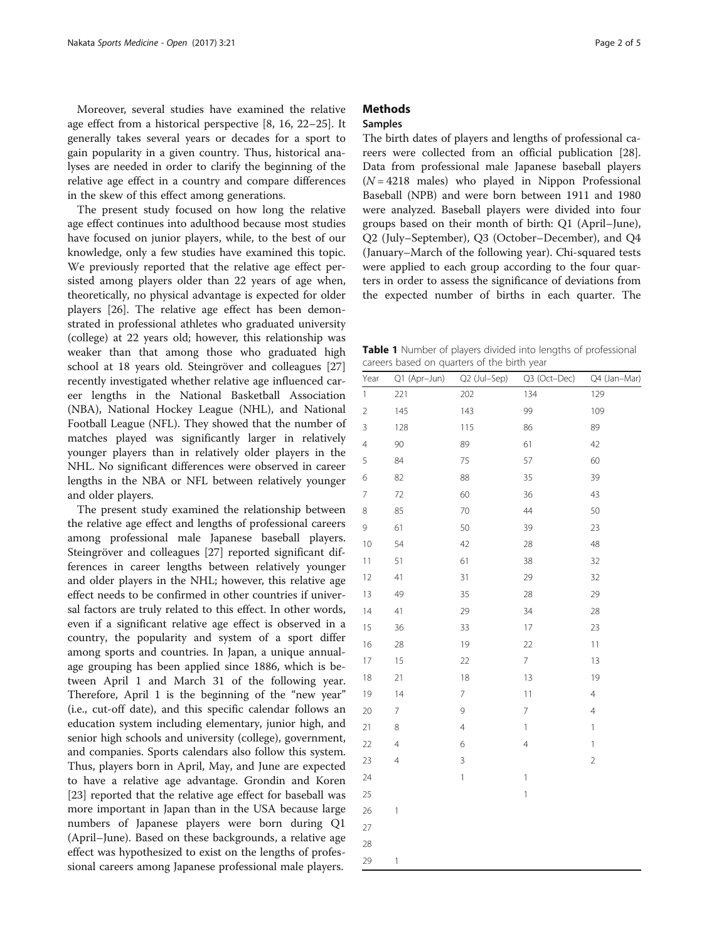<span id="page-1-0"></span>Moreover, several studies have examined the relative age effect from a historical perspective [[8, 16](#page-3-0), [22](#page-4-0)–[25](#page-4-0)]. It generally takes several years or decades for a sport to gain popularity in a given country. Thus, historical analyses are needed in order to clarify the beginning of the relative age effect in a country and compare differences in the skew of this effect among generations.

The present study focused on how long the relative age effect continues into adulthood because most studies have focused on junior players, while, to the best of our knowledge, only a few studies have examined this topic. We previously reported that the relative age effect persisted among players older than 22 years of age when, theoretically, no physical advantage is expected for older players [\[26](#page-4-0)]. The relative age effect has been demonstrated in professional athletes who graduated university (college) at 22 years old; however, this relationship was weaker than that among those who graduated high school at 18 years old. Steingröver and colleagues [[27](#page-4-0)] recently investigated whether relative age influenced career lengths in the National Basketball Association (NBA), National Hockey League (NHL), and National Football League (NFL). They showed that the number of matches played was significantly larger in relatively younger players than in relatively older players in the NHL. No significant differences were observed in career lengths in the NBA or NFL between relatively younger and older players.

The present study examined the relationship between the relative age effect and lengths of professional careers among professional male Japanese baseball players. Steingröver and colleagues [[27\]](#page-4-0) reported significant differences in career lengths between relatively younger and older players in the NHL; however, this relative age effect needs to be confirmed in other countries if universal factors are truly related to this effect. In other words, even if a significant relative age effect is observed in a country, the popularity and system of a sport differ among sports and countries. In Japan, a unique annualage grouping has been applied since 1886, which is between April 1 and March 31 of the following year. Therefore, April 1 is the beginning of the "new year" (i.e., cut-off date), and this specific calendar follows an education system including elementary, junior high, and senior high schools and university (college), government, and companies. Sports calendars also follow this system. Thus, players born in April, May, and June are expected to have a relative age advantage. Grondin and Koren [[23\]](#page-4-0) reported that the relative age effect for baseball was more important in Japan than in the USA because large numbers of Japanese players were born during Q1 (April–June). Based on these backgrounds, a relative age effect was hypothesized to exist on the lengths of professional careers among Japanese professional male players.

# **Methods**

### Samples

The birth dates of players and lengths of professional careers were collected from an official publication [\[28](#page-4-0)]. Data from professional male Japanese baseball players  $(N = 4218$  males) who played in Nippon Professional Baseball (NPB) and were born between 1911 and 1980 were analyzed. Baseball players were divided into four groups based on their month of birth: Q1 (April–June), Q2 (July–September), Q3 (October–December), and Q4 (January–March of the following year). Chi-squared tests were applied to each group according to the four quarters in order to assess the significance of deviations from the expected number of births in each quarter. The

Table 1 Number of players divided into lengths of professional careers based on quarters of the birth year

| Year                      | eis basea oir quaiteis oi tire birtir jear<br>Q1 (Apr-Jun) | Q2 (Jul-Sep)            | Q3 (Oct-Dec)             | Q4 (Jan-Mar)              |
|---------------------------|------------------------------------------------------------|-------------------------|--------------------------|---------------------------|
| $\ensuremath{\mathsf{1}}$ | 221                                                        | 202                     | 134                      | 129                       |
| $\sqrt{2}$                | 145                                                        | 143                     | 99                       | 109                       |
| 3                         | 128                                                        | 115                     | 86                       | 89                        |
| 4                         | 90                                                         | 89                      | 61                       | 42                        |
| 5                         | 84                                                         | 75                      | 57                       | 60                        |
| 6                         | 82                                                         | 88                      | 35                       | 39                        |
| $\overline{\phantom{a}}$  | 72                                                         | 60                      | 36                       | 43                        |
| 8                         | 85                                                         | $70\,$                  | 44                       | 50                        |
| 9                         | 61                                                         | 50                      | 39                       | 23                        |
| 10                        | 54                                                         | 42                      | 28                       | 48                        |
| 11                        | 51                                                         | 61                      | 38                       | 32                        |
| 12                        | 41                                                         | 31                      | 29                       | 32                        |
| 13                        | 49                                                         | 35                      | 28                       | 29                        |
| 14                        | 41                                                         | 29                      | 34                       | 28                        |
| 15                        | 36                                                         | 33                      | 17                       | 23                        |
| 16                        | 28                                                         | 19                      | 22                       | 11                        |
| 17                        | 15                                                         | 22                      | $\overline{\phantom{a}}$ | 13                        |
| 18                        | 21                                                         | 18                      | 13                       | 19                        |
| 19                        | 14                                                         | $\overline{7}$          | 11                       | $\overline{4}$            |
| 20                        | $\overline{7}$                                             | 9                       | $\overline{\phantom{a}}$ | $\overline{4}$            |
| 21                        | 8                                                          | $\overline{4}$          | 1                        | $\mathbf{1}$              |
| 22                        | $\overline{4}$                                             | 6                       | $\overline{4}$           | $\ensuremath{\mathsf{1}}$ |
| 23                        | $\overline{4}$                                             | $\overline{\mathbf{3}}$ |                          | $\overline{c}$            |
| 24                        |                                                            | $\mathbbm{1}$           | $\,1$                    |                           |
| 25                        |                                                            |                         | $\, 1 \,$                |                           |
| 26                        | $\mathbf{1}$                                               |                         |                          |                           |
| 27                        |                                                            |                         |                          |                           |
| 28                        |                                                            |                         |                          |                           |
| 29                        | 1                                                          |                         |                          |                           |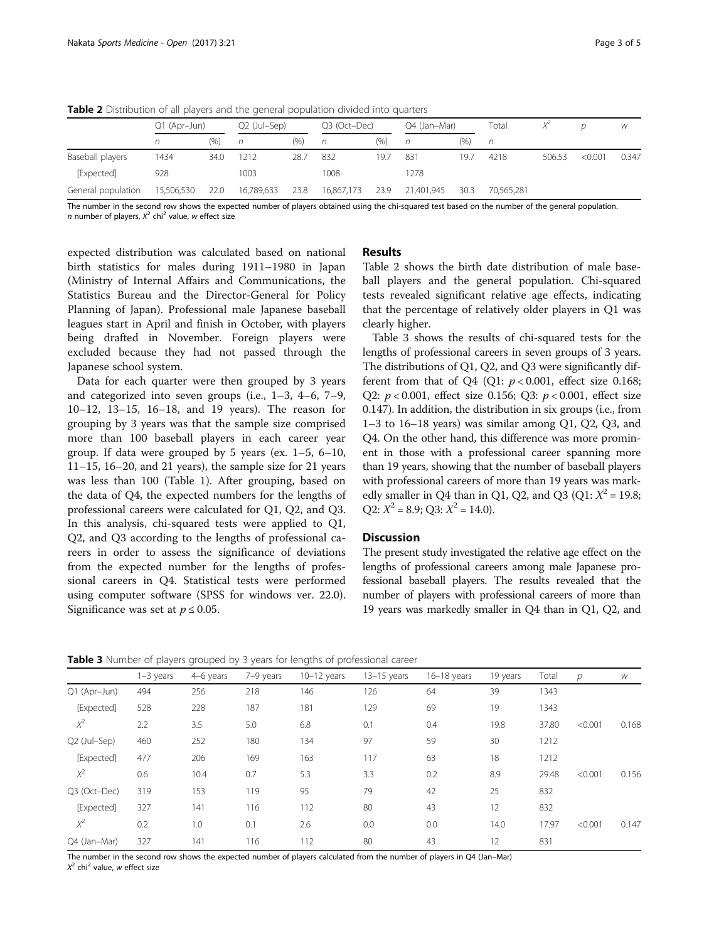|                    | Q1 (Apr-Jun) |      | Q2 (Jul-Sep) |      | Q3 (Oct-Dec) |      | Q4 (Jan-Mar) |       | Total      |        |         | W     |
|--------------------|--------------|------|--------------|------|--------------|------|--------------|-------|------------|--------|---------|-------|
|                    |              | (% ) | n            | (%)  | n            | (% ) | n            | (9/6) | n          |        |         |       |
| Baseball players   | 1434         | 34.0 | 1212         | 28.7 | 832          | 19.7 | 831          | 19.7  | 4218       | 506.53 | < 0.001 | 0.347 |
| [Expected]         | 928          |      | 1003         |      | 1008         |      | 1278         |       |            |        |         |       |
| General population | 15,506,530   | 22.0 | 16,789,633   | 23.8 | 16,867,173   | 23.9 | 21,401,945   | 30.3  | 70.565.281 |        |         |       |

**Table 2** Distribution of all players and the general population divided into quarters

The number in the second row shows the expected number of players obtained using the chi-squared test based on the number of the general population. n number of players,  $X^2$  chi<sup>2</sup> value, w effect size

expected distribution was calculated based on national birth statistics for males during 1911–1980 in Japan (Ministry of Internal Affairs and Communications, the Statistics Bureau and the Director-General for Policy Planning of Japan). Professional male Japanese baseball leagues start in April and finish in October, with players being drafted in November. Foreign players were excluded because they had not passed through the Japanese school system.

Data for each quarter were then grouped by 3 years and categorized into seven groups (i.e., 1–3, 4–6, 7–9, 10–12, 13–15, 16–18, and 19 years). The reason for grouping by 3 years was that the sample size comprised more than 100 baseball players in each career year group. If data were grouped by 5 years (ex.  $1-5$ ,  $6-10$ , 11–15, 16–20, and 21 years), the sample size for 21 years was less than 100 (Table [1\)](#page-1-0). After grouping, based on the data of Q4, the expected numbers for the lengths of professional careers were calculated for Q1, Q2, and Q3. In this analysis, chi-squared tests were applied to Q1, Q2, and Q3 according to the lengths of professional careers in order to assess the significance of deviations from the expected number for the lengths of professional careers in Q4. Statistical tests were performed using computer software (SPSS for windows ver. 22.0). Significance was set at  $p \leq 0.05$ .

### Results

Table 2 shows the birth date distribution of male baseball players and the general population. Chi-squared tests revealed significant relative age effects, indicating that the percentage of relatively older players in Q1 was clearly higher.

Table 3 shows the results of chi-squared tests for the lengths of professional careers in seven groups of 3 years. The distributions of Q1, Q2, and Q3 were significantly different from that of Q4 (Q1:  $p < 0.001$ , effect size 0.168; Q2:  $p < 0.001$ , effect size 0.156; Q3:  $p < 0.001$ , effect size 0.147). In addition, the distribution in six groups (i.e., from 1–3 to 16–18 years) was similar among Q1, Q2, Q3, and Q4. On the other hand, this difference was more prominent in those with a professional career spanning more than 19 years, showing that the number of baseball players with professional careers of more than 19 years was markedly smaller in O4 than in O1, O2, and O3 (O1:  $X^2 = 19.8$ ; Q2:  $X^2$  = 8.9; Q3:  $X^2$  = 14.0).

### Discussion

The present study investigated the relative age effect on the lengths of professional careers among male Japanese professional baseball players. The results revealed that the number of players with professional careers of more than 19 years was markedly smaller in Q4 than in Q1, Q2, and

**Table 3** Number of players grouped by 3 years for lengths of professional career

|              | $1-3$ years | 4-6 years | 7-9 years | $10-12$ years | $13-15$ years | $16-18$ years | 19 years | Total | $\mathcal{P}$ | W     |
|--------------|-------------|-----------|-----------|---------------|---------------|---------------|----------|-------|---------------|-------|
| Q1 (Apr-Jun) | 494         | 256       | 218       | 146           | 126           | 64            | 39       | 1343  |               |       |
| [Expected]   | 528         | 228       | 187       | 181           | 129           | 69            | 19       | 1343  |               |       |
| $X^2$        | 2.2         | 3.5       | 5.0       | 6.8           | 0.1           | 0.4           | 19.8     | 37.80 | < 0.001       | 0.168 |
| Q2 (Jul-Sep) | 460         | 252       | 180       | 134           | 97            | 59            | 30       | 1212  |               |       |
| [Expected]   | 477         | 206       | 169       | 163           | 117           | 63            | 18       | 1212  |               |       |
| $X^2$        | 0.6         | 10.4      | 0.7       | 5.3           | 3.3           | 0.2           | 8.9      | 29.48 | < 0.001       | 0.156 |
| Q3 (Oct-Dec) | 319         | 153       | 119       | 95            | 79            | 42            | 25       | 832   |               |       |
| [Expected]   | 327         | 141       | 116       | 112           | 80            | 43            | 12       | 832   |               |       |
| $X^2$        | 0.2         | 1.0       | 0.1       | 2.6           | 0.0           | 0.0           | 14.0     | 17.97 | < 0.001       | 0.147 |
| O4 (Jan-Mar) | 327         | 141       | 116       | 112           | 80            | 43            | 12       | 831   |               |       |

The number in the second row shows the expected number of players calculated from the number of players in Q4 (Jan–Mar)

 $X^2$  chi<sup>2</sup> value, w effect size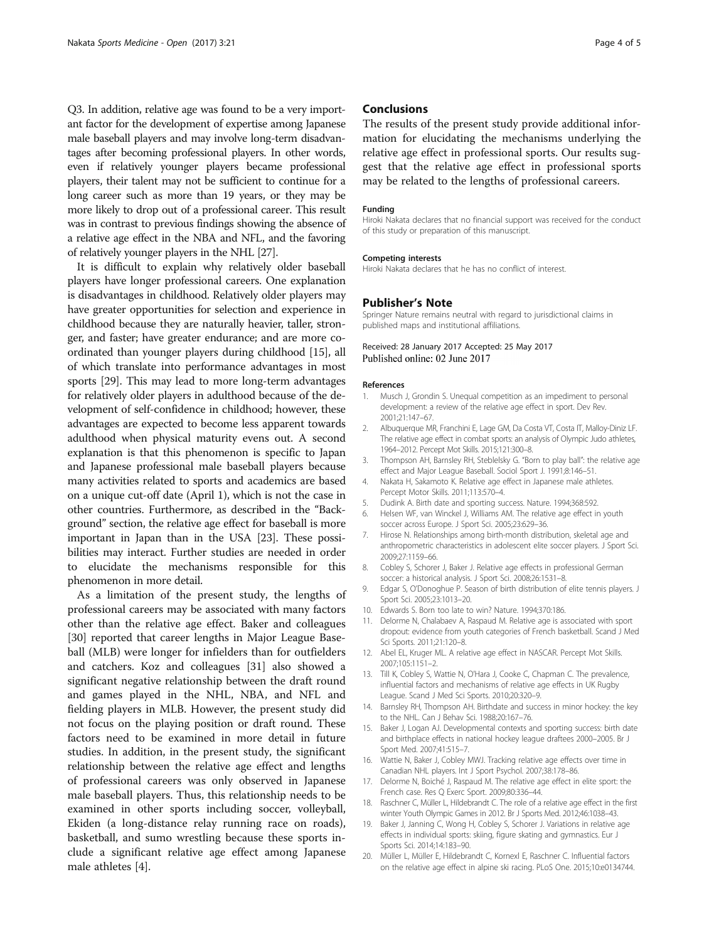<span id="page-3-0"></span>Q3. In addition, relative age was found to be a very important factor for the development of expertise among Japanese male baseball players and may involve long-term disadvantages after becoming professional players. In other words, even if relatively younger players became professional players, their talent may not be sufficient to continue for a long career such as more than 19 years, or they may be more likely to drop out of a professional career. This result was in contrast to previous findings showing the absence of a relative age effect in the NBA and NFL, and the favoring of relatively younger players in the NHL [\[27\]](#page-4-0).

It is difficult to explain why relatively older baseball players have longer professional careers. One explanation is disadvantages in childhood. Relatively older players may have greater opportunities for selection and experience in childhood because they are naturally heavier, taller, stronger, and faster; have greater endurance; and are more coordinated than younger players during childhood [15], all of which translate into performance advantages in most sports [[29](#page-4-0)]. This may lead to more long-term advantages for relatively older players in adulthood because of the development of self-confidence in childhood; however, these advantages are expected to become less apparent towards adulthood when physical maturity evens out. A second explanation is that this phenomenon is specific to Japan and Japanese professional male baseball players because many activities related to sports and academics are based on a unique cut-off date (April 1), which is not the case in other countries. Furthermore, as described in the "[Back](#page-0-0)[ground](#page-0-0)" section, the relative age effect for baseball is more important in Japan than in the USA [\[23\]](#page-4-0). These possibilities may interact. Further studies are needed in order to elucidate the mechanisms responsible for this phenomenon in more detail.

As a limitation of the present study, the lengths of professional careers may be associated with many factors other than the relative age effect. Baker and colleagues [[30\]](#page-4-0) reported that career lengths in Major League Baseball (MLB) were longer for infielders than for outfielders and catchers. Koz and colleagues [\[31](#page-4-0)] also showed a significant negative relationship between the draft round and games played in the NHL, NBA, and NFL and fielding players in MLB. However, the present study did not focus on the playing position or draft round. These factors need to be examined in more detail in future studies. In addition, in the present study, the significant relationship between the relative age effect and lengths of professional careers was only observed in Japanese male baseball players. Thus, this relationship needs to be examined in other sports including soccer, volleyball, Ekiden (a long-distance relay running race on roads), basketball, and sumo wrestling because these sports include a significant relative age effect among Japanese male athletes [4].

### Conclusions

The results of the present study provide additional information for elucidating the mechanisms underlying the relative age effect in professional sports. Our results suggest that the relative age effect in professional sports may be related to the lengths of professional careers.

#### Funding

Hiroki Nakata declares that no financial support was received for the conduct of this study or preparation of this manuscript.

#### Competing interests

Hiroki Nakata declares that he has no conflict of interest.

#### Publisher's Note

Springer Nature remains neutral with regard to jurisdictional claims in published maps and institutional affiliations.

### Received: 28 January 2017 Accepted: 25 May 2017 Published online: 02 June 2017

#### References

- 1. Musch J, Grondin S. Unequal competition as an impediment to personal development: a review of the relative age effect in sport. Dev Rev. 2001;21:147–67.
- 2. Albuquerque MR, Franchini E, Lage GM, Da Costa VT, Costa IT, Malloy-Diniz LF. The relative age effect in combat sports: an analysis of Olympic Judo athletes, 1964–2012. Percept Mot Skills. 2015;121:300–8.
- 3. Thompson AH, Barnsley RH, Steblelsky G. "Born to play ball": the relative age effect and Major League Baseball. Sociol Sport J. 1991;8:146–51.
- 4. Nakata H, Sakamoto K. Relative age effect in Japanese male athletes. Percept Motor Skills. 2011;113:570–4.
- 5. Dudink A. Birth date and sporting success. Nature. 1994;368:592.
- 6. Helsen WF, van Winckel J, Williams AM. The relative age effect in youth soccer across Europe. J Sport Sci. 2005;23:629–36.
- 7. Hirose N. Relationships among birth-month distribution, skeletal age and anthropometric characteristics in adolescent elite soccer players. J Sport Sci. 2009;27:1159–66.
- 8. Cobley S, Schorer J, Baker J. Relative age effects in professional German soccer: a historical analysis. J Sport Sci. 2008;26:1531–8.
- 9. Edgar S, O'Donoghue P. Season of birth distribution of elite tennis players. J Sport Sci. 2005;23:1013–20.
- 10. Edwards S. Born too late to win? Nature. 1994;370:186.
- 11. Delorme N, Chalabaev A, Raspaud M. Relative age is associated with sport dropout: evidence from youth categories of French basketball. Scand J Med Sci Sports. 2011;21:120–8.
- 12. Abel EL, Kruger ML. A relative age effect in NASCAR. Percept Mot Skills. 2007;105:1151–2.
- 13. Till K, Cobley S, Wattie N, O'Hara J, Cooke C, Chapman C. The prevalence, influential factors and mechanisms of relative age effects in UK Rugby League. Scand J Med Sci Sports. 2010;20:320–9.
- 14. Barnsley RH, Thompson AH. Birthdate and success in minor hockey: the key to the NHL. Can J Behav Sci. 1988;20:167–76.
- 15. Baker J, Logan AJ. Developmental contexts and sporting success: birth date and birthplace effects in national hockey league draftees 2000–2005. Br J Sport Med. 2007;41:515–7.
- 16. Wattie N, Baker J, Cobley MWJ. Tracking relative age effects over time in Canadian NHL players. Int J Sport Psychol. 2007;38:178–86.
- 17. Delorme N, Boiché J, Raspaud M. The relative age effect in elite sport: the French case. Res Q Exerc Sport. 2009;80:336–44.
- 18. Raschner C, Müller L, Hildebrandt C. The role of a relative age effect in the first winter Youth Olympic Games in 2012. Br J Sports Med. 2012;46:1038–43.
- 19. Baker J, Janning C, Wong H, Cobley S, Schorer J. Variations in relative age effects in individual sports: skiing, figure skating and gymnastics. Eur J Sports Sci. 2014;14:183–90.
- 20. Müller L, Müller E, Hildebrandt C, Kornexl E, Raschner C. Influential factors on the relative age effect in alpine ski racing. PLoS One. 2015;10:e0134744.